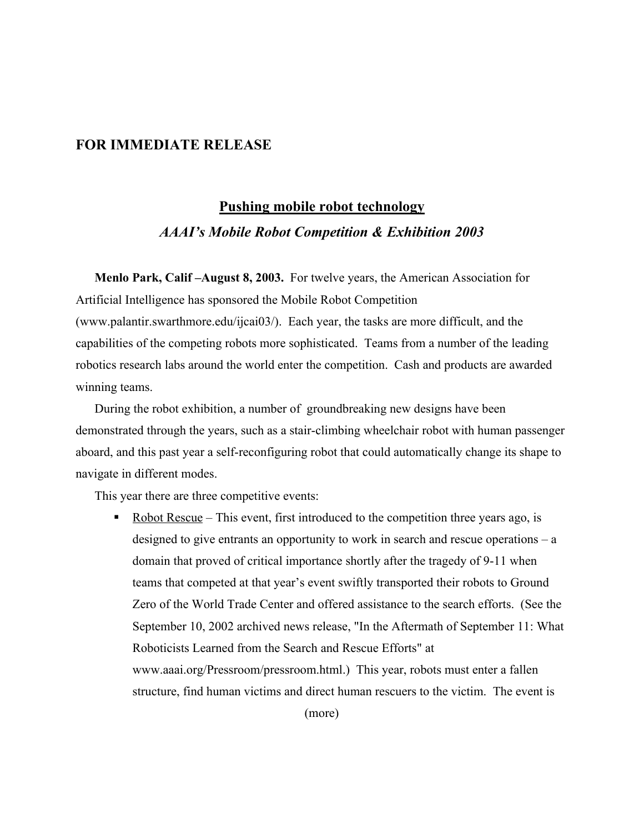## **FOR IMMEDIATE RELEASE**

## **Pushing mobile robot technology** *AAAI's Mobile Robot Competition & Exhibition 2003*

**Menlo Park, Calif –August 8, 2003.** For twelve years, the American Association for Artificial Intelligence has sponsored the Mobile Robot Competition (www.palantir.swarthmore.edu/ijcai03/). Each year, the tasks are more difficult, and the capabilities of the competing robots more sophisticated. Teams from a number of the leading robotics research labs around the world enter the competition. Cash and products are awarded winning teams.

During the robot exhibition, a number of groundbreaking new designs have been demonstrated through the years, such as a stair-climbing wheelchair robot with human passenger aboard, and this past year a self-reconfiguring robot that could automatically change its shape to navigate in different modes.

This year there are three competitive events:

Robot Rescue – This event, first introduced to the competition three years ago, is designed to give entrants an opportunity to work in search and rescue operations – a domain that proved of critical importance shortly after the tragedy of 9-11 when teams that competed at that year's event swiftly transported their robots to Ground Zero of the World Trade Center and offered assistance to the search efforts. (See the September 10, 2002 archived news release, "In the Aftermath of September 11: What Roboticists Learned from the Search and Rescue Efforts" at www.aaai.org/Pressroom/pressroom.html.) This year, robots must enter a fallen structure, find human victims and direct human rescuers to the victim. The event is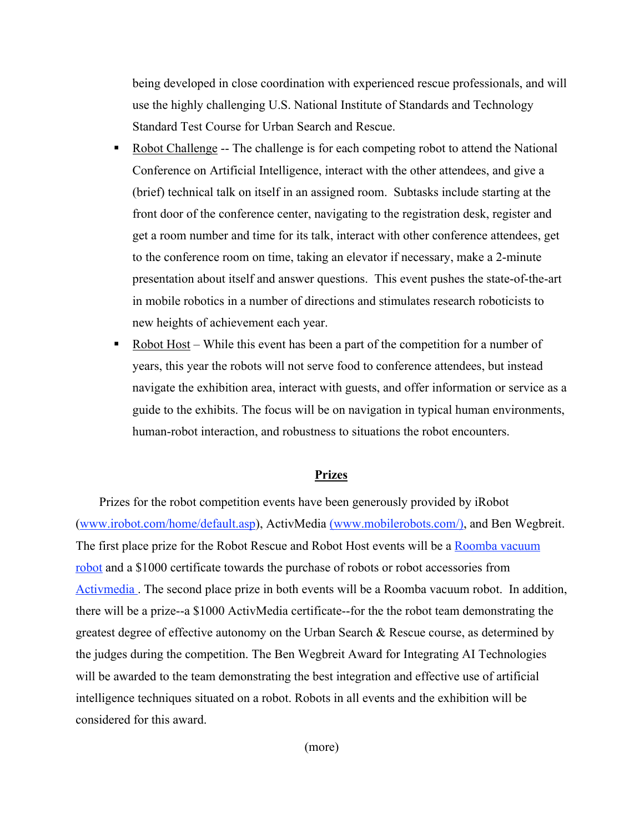being developed in close coordination with experienced rescue professionals, and will use the highly challenging U.S. National Institute of Standards and Technology Standard Test Course for Urban Search and Rescue.

- Robot Challenge -- The challenge is for each competing robot to attend the National Conference on Artificial Intelligence, interact with the other attendees, and give a (brief) technical talk on itself in an assigned room. Subtasks include starting at the front door of the conference center, navigating to the registration desk, register and get a room number and time for its talk, interact with other conference attendees, get to the conference room on time, taking an elevator if necessary, make a 2-minute presentation about itself and answer questions. This event pushes the state-of-the-art in mobile robotics in a number of directions and stimulates research roboticists to new heights of achievement each year.
- ß Robot Host While this event has been a part of the competition for a number of years, this year the robots will not serve food to conference attendees, but instead navigate the exhibition area, interact with guests, and offer information or service as a guide to the exhibits. The focus will be on navigation in typical human environments, human-robot interaction, and robustness to situations the robot encounters.

## **Prizes**

Prizes for the robot competition events have been generously provided by iRobot (www.irobot.com/home/default.asp), ActivMedia (www.mobilerobots.com/), and Ben Wegbreit. The first place prize for the Robot Rescue and Robot Host events will be a Roomba vacuum robot and a \$1000 certificate towards the purchase of robots or robot accessories from Activmedia . The second place prize in both events will be a Roomba vacuum robot. In addition, there will be a prize--a \$1000 ActivMedia certificate--for the the robot team demonstrating the greatest degree of effective autonomy on the Urban Search & Rescue course, as determined by the judges during the competition. The Ben Wegbreit Award for Integrating AI Technologies will be awarded to the team demonstrating the best integration and effective use of artificial intelligence techniques situated on a robot. Robots in all events and the exhibition will be considered for this award.